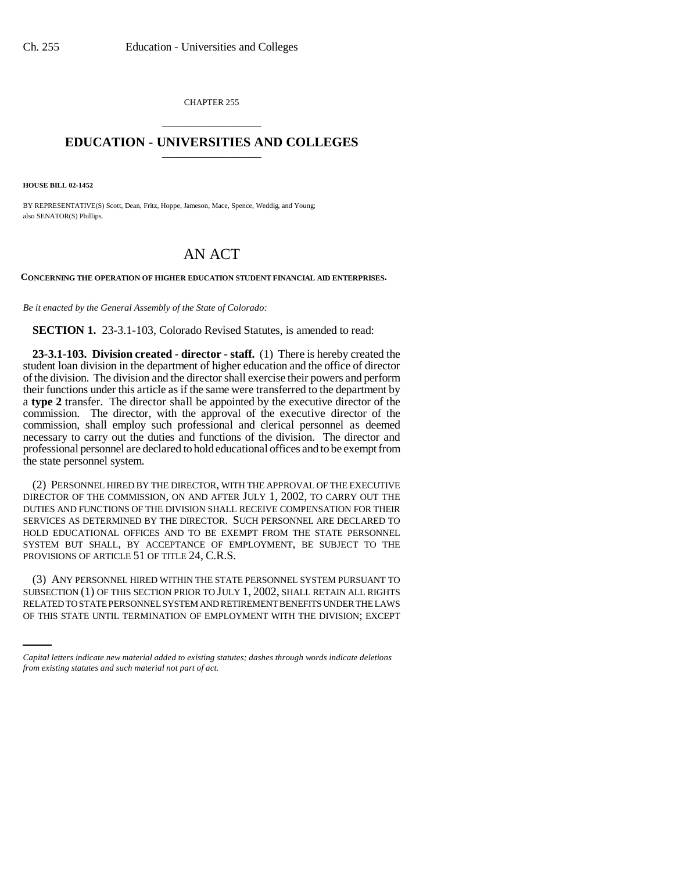CHAPTER 255 \_\_\_\_\_\_\_\_\_\_\_\_\_\_\_

## **EDUCATION - UNIVERSITIES AND COLLEGES** \_\_\_\_\_\_\_\_\_\_\_\_\_\_\_

**HOUSE BILL 02-1452**

BY REPRESENTATIVE(S) Scott, Dean, Fritz, Hoppe, Jameson, Mace, Spence, Weddig, and Young; also SENATOR(S) Phillips.

# AN ACT

**CONCERNING THE OPERATION OF HIGHER EDUCATION STUDENT FINANCIAL AID ENTERPRISES.**

*Be it enacted by the General Assembly of the State of Colorado:*

**SECTION 1.** 23-3.1-103, Colorado Revised Statutes, is amended to read:

**23-3.1-103. Division created - director - staff.** (1) There is hereby created the student loan division in the department of higher education and the office of director of the division. The division and the director shall exercise their powers and perform their functions under this article as if the same were transferred to the department by a **type 2** transfer. The director shall be appointed by the executive director of the commission. The director, with the approval of the executive director of the commission, shall employ such professional and clerical personnel as deemed necessary to carry out the duties and functions of the division. The director and professional personnel are declared to hold educational offices and to be exempt from the state personnel system.

(2) PERSONNEL HIRED BY THE DIRECTOR, WITH THE APPROVAL OF THE EXECUTIVE DIRECTOR OF THE COMMISSION, ON AND AFTER JULY 1, 2002, TO CARRY OUT THE DUTIES AND FUNCTIONS OF THE DIVISION SHALL RECEIVE COMPENSATION FOR THEIR SERVICES AS DETERMINED BY THE DIRECTOR. SUCH PERSONNEL ARE DECLARED TO HOLD EDUCATIONAL OFFICES AND TO BE EXEMPT FROM THE STATE PERSONNEL SYSTEM BUT SHALL, BY ACCEPTANCE OF EMPLOYMENT, BE SUBJECT TO THE PROVISIONS OF ARTICLE 51 OF TITLE 24, C.R.S.

SUBSECTION (1) OF THIS SECTION PRIOR TO JULY 1, 2002, SHALL RETAIN ALL RIGHTS (3) ANY PERSONNEL HIRED WITHIN THE STATE PERSONNEL SYSTEM PURSUANT TO RELATED TO STATE PERSONNEL SYSTEM AND RETIREMENT BENEFITS UNDER THE LAWS OF THIS STATE UNTIL TERMINATION OF EMPLOYMENT WITH THE DIVISION; EXCEPT

*Capital letters indicate new material added to existing statutes; dashes through words indicate deletions from existing statutes and such material not part of act.*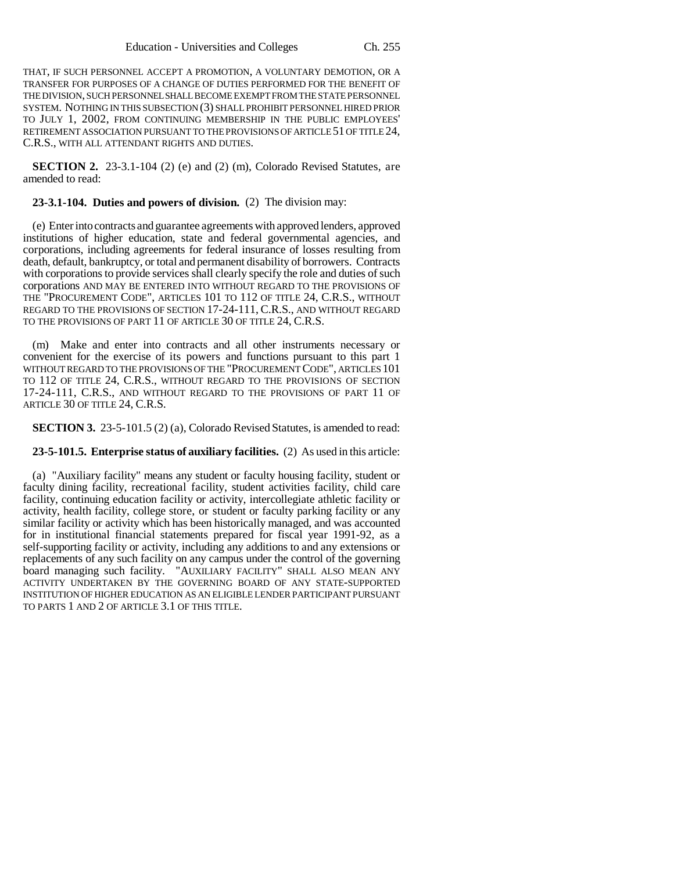THAT, IF SUCH PERSONNEL ACCEPT A PROMOTION, A VOLUNTARY DEMOTION, OR A TRANSFER FOR PURPOSES OF A CHANGE OF DUTIES PERFORMED FOR THE BENEFIT OF THE DIVISION, SUCH PERSONNEL SHALL BECOME EXEMPT FROM THE STATE PERSONNEL SYSTEM. NOTHING IN THIS SUBSECTION (3) SHALL PROHIBIT PERSONNEL HIRED PRIOR TO JULY 1, 2002, FROM CONTINUING MEMBERSHIP IN THE PUBLIC EMPLOYEES' RETIREMENT ASSOCIATION PURSUANT TO THE PROVISIONS OF ARTICLE 51 OF TITLE 24, C.R.S., WITH ALL ATTENDANT RIGHTS AND DUTIES.

**SECTION 2.** 23-3.1-104 (2) (e) and (2) (m), Colorado Revised Statutes, are amended to read:

#### **23-3.1-104. Duties and powers of division.** (2) The division may:

(e) Enter into contracts and guarantee agreements with approved lenders, approved institutions of higher education, state and federal governmental agencies, and corporations, including agreements for federal insurance of losses resulting from death, default, bankruptcy, or total and permanent disability of borrowers. Contracts with corporations to provide services shall clearly specify the role and duties of such corporations AND MAY BE ENTERED INTO WITHOUT REGARD TO THE PROVISIONS OF THE "PROCUREMENT CODE", ARTICLES 101 TO 112 OF TITLE 24, C.R.S., WITHOUT REGARD TO THE PROVISIONS OF SECTION 17-24-111, C.R.S., AND WITHOUT REGARD TO THE PROVISIONS OF PART 11 OF ARTICLE 30 OF TITLE 24, C.R.S.

(m) Make and enter into contracts and all other instruments necessary or convenient for the exercise of its powers and functions pursuant to this part 1 WITHOUT REGARD TO THE PROVISIONS OF THE "PROCUREMENT CODE", ARTICLES 101 TO 112 OF TITLE 24, C.R.S., WITHOUT REGARD TO THE PROVISIONS OF SECTION 17-24-111, C.R.S., AND WITHOUT REGARD TO THE PROVISIONS OF PART 11 OF ARTICLE 30 OF TITLE 24, C.R.S.

#### **SECTION 3.** 23-5-101.5 (2) (a), Colorado Revised Statutes, is amended to read:

### **23-5-101.5. Enterprise status of auxiliary facilities.** (2) As used in this article:

(a) "Auxiliary facility" means any student or faculty housing facility, student or faculty dining facility, recreational facility, student activities facility, child care facility, continuing education facility or activity, intercollegiate athletic facility or activity, health facility, college store, or student or faculty parking facility or any similar facility or activity which has been historically managed, and was accounted for in institutional financial statements prepared for fiscal year 1991-92, as a self-supporting facility or activity, including any additions to and any extensions or replacements of any such facility on any campus under the control of the governing board managing such facility. "AUXILIARY FACILITY" SHALL ALSO MEAN ANY ACTIVITY UNDERTAKEN BY THE GOVERNING BOARD OF ANY STATE-SUPPORTED INSTITUTION OF HIGHER EDUCATION AS AN ELIGIBLE LENDER PARTICIPANT PURSUANT TO PARTS 1 AND 2 OF ARTICLE 3.1 OF THIS TITLE.